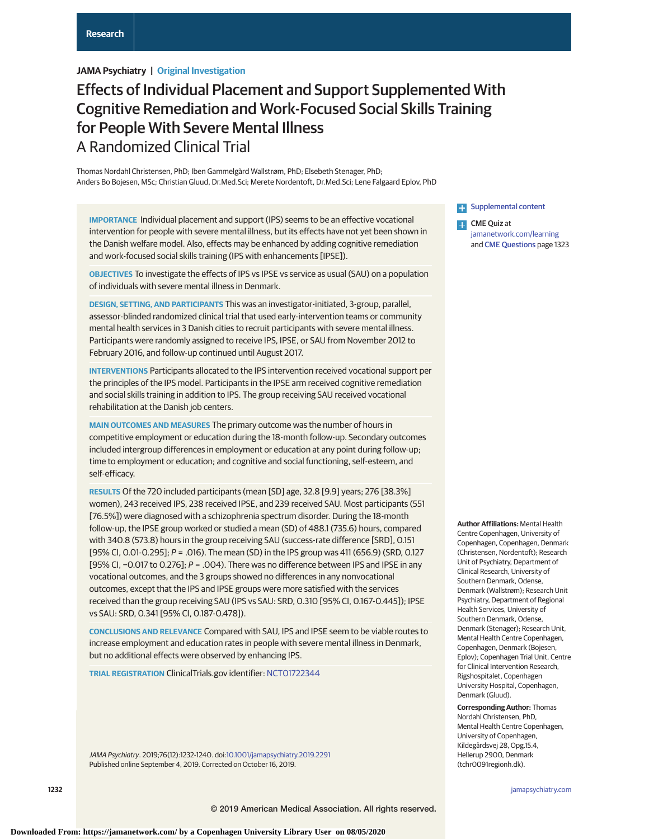# **JAMA Psychiatry | Original Investigation**

# Effects of Individual Placement and Support Supplemented With Cognitive Remediation and Work-Focused Social Skills Training for People With Severe Mental Illness A Randomized Clinical Trial

Thomas Nordahl Christensen, PhD; Iben Gammelgård Wallstrøm, PhD; Elsebeth Stenager, PhD; Anders Bo Bojesen, MSc; Christian Gluud, Dr.Med.Sci; Merete Nordentoft, Dr.Med.Sci; Lene Falgaard Eplov, PhD

**IMPORTANCE** Individual placement and support (IPS) seems to be an effective vocational intervention for people with severe mental illness, but its effects have not yet been shown in the Danish welfare model. Also, effects may be enhanced by adding cognitive remediation and work-focused social skills training (IPS with enhancements [IPSE]).

**OBJECTIVES** To investigate the effects of IPS vs IPSE vs service as usual (SAU) on a population of individuals with severe mental illness in Denmark.

**DESIGN, SETTING, AND PARTICIPANTS** This was an investigator-initiated, 3-group, parallel, assessor-blinded randomized clinical trial that used early-intervention teams or community mental health services in 3 Danish cities to recruit participants with severe mental illness. Participants were randomly assigned to receive IPS, IPSE, or SAU from November 2012 to February 2016, and follow-up continued until August 2017.

**INTERVENTIONS** Participants allocated to the IPS intervention received vocational support per the principles of the IPS model. Participants in the IPSE arm received cognitive remediation and social skills training in addition to IPS. The group receiving SAU received vocational rehabilitation at the Danish job centers.

**MAIN OUTCOMES AND MEASURES** The primary outcome was the number of hours in competitive employment or education during the 18-month follow-up. Secondary outcomes included intergroup differences in employment or education at any point during follow-up; time to employment or education; and cognitive and social functioning, self-esteem, and self-efficacy.

**RESULTS** Of the 720 included participants (mean [SD] age, 32.8 [9.9] years; 276 [38.3%] women), 243 received IPS, 238 received IPSE, and 239 received SAU. Most participants (551 [76.5%]) were diagnosed with a schizophrenia spectrum disorder. During the 18-month follow-up, the IPSE group worked or studied a mean (SD) of 488.1 (735.6) hours, compared with 340.8 (573.8) hours in the group receiving SAU (success-rate difference [SRD], 0.151 [95% CI, 0.01-0.295]; P = .016). The mean (SD) in the IPS group was 411 (656.9) (SRD, 0.127 [95% CI, -0.017 to 0.276]; P = .004). There was no difference between IPS and IPSE in any vocational outcomes, and the 3 groups showed no differences in any nonvocational outcomes, except that the IPS and IPSE groups were more satisfied with the services received than the group receiving SAU (IPS vs SAU: SRD, 0.310 [95% CI, 0.167-0.445]); IPSE vs SAU: SRD, 0.341 [95% CI, 0.187-0.478]).

**CONCLUSIONS AND RELEVANCE** Compared with SAU, IPS and IPSE seem to be viable routes to increase employment and education rates in people with severe mental illness in Denmark, but no additional effects were observed by enhancing IPS.

**TRIAL REGISTRATION** ClinicalTrials.gov identifier: [NCT01722344](https://clinicaltrials.gov/ct2/show/NCT01722344)

JAMA Psychiatry. 2019;76(12):1232-1240. doi[:10.1001/jamapsychiatry.2019.2291](https://jamanetwork.com/journals/jama/fullarticle/10.1001/jamapsychiatry.2019.2291?utm_campaign=articlePDF%26utm_medium=articlePDFlink%26utm_source=articlePDF%26utm_content=jamapsychiatry.2019.2291) Published online September 4, 2019. Corrected on October 16, 2019.

**[Supplemental content](https://jamanetwork.com/journals/psy/fullarticle/10.1001/jamapsychiatry.2019.2291/?utm_campaign=articlePDF%26utm_medium=articlePDFlink%26utm_source=articlePDF%26utm_content=jamapsychiatry.2019.2291)** 

**CME** Quiz at [jamanetwork.com/learning](https://jama.jamanetwork.com/learning/article-quiz/10.1001/jamapsychiatry.2019.2291/?utm_campaign=articlePDF%26utm_medium=articlePDFlink%26utm_source=articlePDF%26utm_content=jamapsychiatry.2019.2291) and [CME Questions](https://jama.jamanetwork.com/learning/article-quiz/10.1001/jamapsychiatry.2019.2291/?utm_campaign=articlePDF%26utm_medium=articlePDFlink%26utm_source=articlePDF%26utm_content=jamapsychiatry.2019.2291) page 1323

**Author Affiliations:** Mental Health Centre Copenhagen, University of Copenhagen, Copenhagen, Denmark (Christensen, Nordentoft); Research Unit of Psychiatry, Department of Clinical Research, University of Southern Denmark, Odense, Denmark (Wallstrøm); Research Unit Psychiatry, Department of Regional Health Services, University of Southern Denmark, Odense, Denmark (Stenager); Research Unit, Mental Health Centre Copenhagen, Copenhagen, Denmark (Bojesen, Eplov); Copenhagen Trial Unit, Centre for Clinical Intervention Research, Rigshospitalet, Copenhagen University Hospital, Copenhagen, Denmark (Gluud).

**Corresponding Author:** Thomas Nordahl Christensen, PhD, Mental Health Centre Copenhagen, University of Copenhagen, Kildegårdsvej 28, Opg.15.4, Hellerup 2900, Denmark (tchr0091regionh.dk).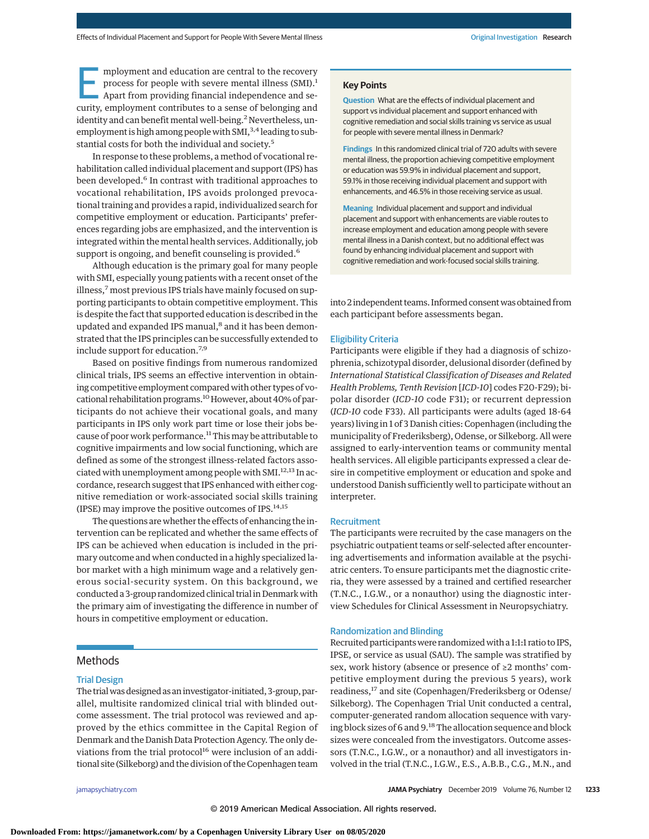mployment and education are central to the recovery<br>process for people with severe mental illness (SMI).<sup>1</sup><br>Apart from providing financial independence and se-<br>curity employment contributes to a sense of belonging and process for people with severe mental illness (SMI).<sup>1</sup> curity, employment contributes to a sense of belonging and identity and can benefit mental well-being.<sup>2</sup> Nevertheless, unemployment is high among people with SMI,<sup>3,4</sup> leading to substantial costs for both the individual and society.<sup>5</sup>

In response to these problems, a method of vocational rehabilitation called individual placement and support (IPS) has been developed.<sup>6</sup> In contrast with traditional approaches to vocational rehabilitation, IPS avoids prolonged prevocational training and provides a rapid, individualized search for competitive employment or education. Participants' preferences regarding jobs are emphasized, and the intervention is integrated within the mental health services. Additionally, job support is ongoing, and benefit counseling is provided.<sup>6</sup>

Although education is the primary goal for many people with SMI, especially young patients with a recent onset of the illness,<sup>7</sup> most previous IPS trials have mainly focused on supporting participants to obtain competitive employment. This is despite the fact that supported education is described in the updated and expanded IPS manual,<sup>8</sup> and it has been demonstrated that the IPS principles can be successfully extended to include support for education.7,9

Based on positive findings from numerous randomized clinical trials, IPS seems an effective intervention in obtaining competitive employment compared with other types of vocational rehabilitation programs.<sup>10</sup> However, about 40% of participants do not achieve their vocational goals, and many participants in IPS only work part time or lose their jobs because of poor work performance.<sup>11</sup> This may be attributable to cognitive impairments and low social functioning, which are defined as some of the strongest illness-related factors associated with unemployment among people with SMI.<sup>12,13</sup> In accordance, research suggest that IPS enhanced with either cognitive remediation or work-associated social skills training (IPSE) may improve the positive outcomes of IPS.14,15

The questions are whether the effects of enhancing the intervention can be replicated and whether the same effects of IPS can be achieved when education is included in the primary outcome and when conducted in a highly specialized labor market with a high minimum wage and a relatively generous social-security system. On this background, we conducted a 3-group randomized clinical trial in Denmark with the primary aim of investigating the difference in number of hours in competitive employment or education.

## **Methods**

## Trial Design

The trial was designed as an investigator-initiated, 3-group, parallel, multisite randomized clinical trial with blinded outcome assessment. The trial protocol was reviewed and approved by the ethics committee in the Capital Region of Denmark and the Danish Data Protection Agency. The only deviations from the trial protocol $16$  were inclusion of an additional site (Silkeborg) and the division of the Copenhagen team

**Key Points**

**Question** What are the effects of individual placement and support vs individual placement and support enhanced with cognitive remediation and social skills training vs service as usual for people with severe mental illness in Denmark?

**Findings** In this randomized clinical trial of 720 adults with severe mental illness, the proportion achieving competitive employment or education was 59.9% in individual placement and support, 59.1% in those receiving individual placement and support with enhancements, and 46.5% in those receiving service as usual.

**Meaning** Individual placement and support and individual placement and support with enhancements are viable routes to increase employment and education among people with severe mental illness in a Danish context, but no additional effect was found by enhancing individual placement and support with cognitive remediation and work-focused social skills training.

into 2 independent teams. Informed consent was obtained from each participant before assessments began.

### Eligibility Criteria

Participants were eligible if they had a diagnosis of schizophrenia, schizotypal disorder, delusional disorder (defined by *International Statistical Classification of Diseases and Related Health Problems, Tenth Revision* [*ICD-10*] codes F20-F29); bipolar disorder (*ICD-10* code F31); or recurrent depression (*ICD-10* code F33). All participants were adults (aged 18-64 years) living in 1 of 3 Danish cities: Copenhagen (including the municipality of Frederiksberg), Odense, or Silkeborg. All were assigned to early-intervention teams or community mental health services. All eligible participants expressed a clear desire in competitive employment or education and spoke and understood Danish sufficiently well to participate without an interpreter.

#### **Recruitment**

The participants were recruited by the case managers on the psychiatric outpatient teams or self-selected after encountering advertisements and information available at the psychiatric centers. To ensure participants met the diagnostic criteria, they were assessed by a trained and certified researcher (T.N.C., I.G.W., or a nonauthor) using the diagnostic interview Schedules for Clinical Assessment in Neuropsychiatry.

#### Randomization and Blinding

Recruited participants were randomized with a 1:1:1 ratio to IPS, IPSE, or service as usual (SAU). The sample was stratified by sex, work history (absence or presence of ≥2 months' competitive employment during the previous 5 years), work readiness,<sup>17</sup> and site (Copenhagen/Frederiksberg or Odense/ Silkeborg). The Copenhagen Trial Unit conducted a central, computer-generated random allocation sequence with varying block sizes of 6 and 9. $^{18}$  The allocation sequence and block sizes were concealed from the investigators. Outcome assessors (T.N.C., I.G.W., or a nonauthor) and all investigators involved in the trial (T.N.C., I.G.W., E.S., A.B.B., C.G., M.N., and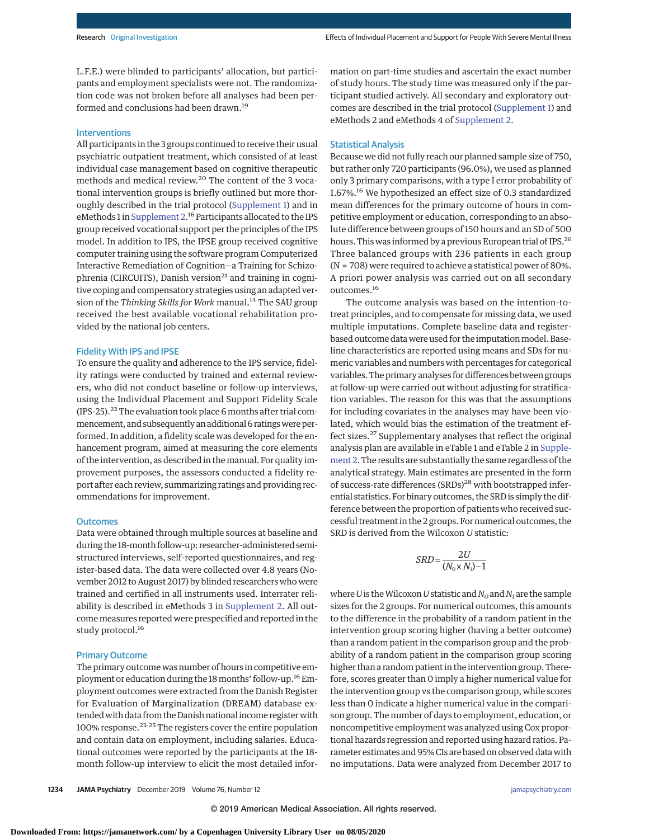L.F.E.) were blinded to participants' allocation, but participants and employment specialists were not. The randomization code was not broken before all analyses had been performed and conclusions had been drawn.<sup>19</sup>

## Interventions

All participants in the 3 groups continued to receive their usual psychiatric outpatient treatment, which consisted of at least individual case management based on cognitive therapeutic methods and medical review.<sup>20</sup> The content of the 3 vocational intervention groups is briefly outlined but more thoroughly described in the trial protocol [\(Supplement 1\)](https://jamanetwork.com/journals/jama/fullarticle/10.1001/jamapsychiatry.2019.2291?utm_campaign=articlePDF%26utm_medium=articlePDFlink%26utm_source=articlePDF%26utm_content=jamapsychiatry.2019.2291) and in eMethods 1 in [Supplement 2.](https://jamanetwork.com/journals/jama/fullarticle/10.1001/jamapsychiatry.2019.2291?utm_campaign=articlePDF%26utm_medium=articlePDFlink%26utm_source=articlePDF%26utm_content=jamapsychiatry.2019.2291)<sup>16</sup> Participants allocated to the IPS group received vocational support per the principles of the IPS model. In addition to IPS, the IPSE group received cognitive computer training using the software program Computerized Interactive Remediation of Cognition—a Training for Schizophrenia (CIRCUITS), Danish version<sup>21</sup> and training in cognitive coping and compensatory strategies using an adapted version of the *Thinking Skills for Work* manual.<sup>14</sup> The SAU group received the best available vocational rehabilitation provided by the national job centers.

## Fidelity With IPS and IPSE

To ensure the quality and adherence to the IPS service, fidelity ratings were conducted by trained and external reviewers, who did not conduct baseline or follow-up interviews, using the Individual Placement and Support Fidelity Scale (IPS-25).<sup>22</sup> The evaluation took place 6 months after trial commencement, and subsequently an additional 6 ratingswere performed. In addition, a fidelity scale was developed for the enhancement program, aimed at measuring the core elements of the intervention, as described in themanual. For quality improvement purposes, the assessors conducted a fidelity report after each review, summarizing ratings and providing recommendations for improvement.

## **Outcomes**

Data were obtained through multiple sources at baseline and during the 18-month follow-up: researcher-administered semistructured interviews, self-reported questionnaires, and register-based data. The data were collected over 4.8 years (November 2012 to August 2017) by blinded researchers who were trained and certified in all instruments used. Interrater reliability is described in eMethods 3 in [Supplement 2.](https://jamanetwork.com/journals/jama/fullarticle/10.1001/jamapsychiatry.2019.2291?utm_campaign=articlePDF%26utm_medium=articlePDFlink%26utm_source=articlePDF%26utm_content=jamapsychiatry.2019.2291) All outcome measures reported were prespecified and reported in the study protocol.<sup>16</sup>

## Primary Outcome

The primary outcome was number of hours in competitive employment or education during the 18months' follow-up.16Employment outcomes were extracted from the Danish Register for Evaluation of Marginalization (DREAM) database extended with data from the Danish national income register with 100% response.23-25 The registers cover the entire population and contain data on employment, including salaries. Educational outcomes were reported by the participants at the 18 month follow-up interview to elicit the most detailed information on part-time studies and ascertain the exact number of study hours. The study time was measured only if the participant studied actively. All secondary and exploratory outcomes are described in the trial protocol [\(Supplement 1\)](https://jamanetwork.com/journals/jama/fullarticle/10.1001/jamapsychiatry.2019.2291?utm_campaign=articlePDF%26utm_medium=articlePDFlink%26utm_source=articlePDF%26utm_content=jamapsychiatry.2019.2291) and eMethods 2 and eMethods 4 of [Supplement 2.](https://jamanetwork.com/journals/jama/fullarticle/10.1001/jamapsychiatry.2019.2291?utm_campaign=articlePDF%26utm_medium=articlePDFlink%26utm_source=articlePDF%26utm_content=jamapsychiatry.2019.2291)

## Statistical Analysis

Because we did not fully reach our planned sample size of 750, but rather only 720 participants (96.0%), we used as planned only 3 primary comparisons, with a type I error probability of 1.67%.<sup>16</sup> We hypothesized an effect size of 0.3 standardized mean differences for the primary outcome of hours in competitive employment or education, corresponding to an absolute difference between groups of 150 hours and an SD of 500 hours. This was informed by a previous European trial of IPS.<sup>26</sup> Three balanced groups with 236 patients in each group (N = 708) were required to achieve a statistical power of 80%. A priori power analysis was carried out on all secondary outcomes.<sup>16</sup>

The outcome analysis was based on the intention-totreat principles, and to compensate for missing data, we used multiple imputations. Complete baseline data and registerbased outcome data were used for the imputation model. Baseline characteristics are reported using means and SDs for numeric variables and numbers with percentages for categorical variables. The primary analyses for differences between groups at follow-up were carried out without adjusting for stratification variables. The reason for this was that the assumptions for including covariates in the analyses may have been violated, which would bias the estimation of the treatment effect sizes.<sup>27</sup> Supplementary analyses that reflect the original analysis plan are available in eTable 1 and eTable 2 in [Supple](https://jamanetwork.com/journals/jama/fullarticle/10.1001/jamapsychiatry.2019.2291?utm_campaign=articlePDF%26utm_medium=articlePDFlink%26utm_source=articlePDF%26utm_content=jamapsychiatry.2019.2291)[ment 2.](https://jamanetwork.com/journals/jama/fullarticle/10.1001/jamapsychiatry.2019.2291?utm_campaign=articlePDF%26utm_medium=articlePDFlink%26utm_source=articlePDF%26utm_content=jamapsychiatry.2019.2291) The results are substantially the same regardless of the analytical strategy. Main estimates are presented in the form of success-rate differences (SRDs)<sup>28</sup> with bootstrapped inferential statistics. For binary outcomes, the SRD is simply the difference between the proportion of patients who received successful treatment in the 2 groups. For numerical outcomes, the SRD is derived from the Wilcoxon *U* statistic:

$$
SRD = \frac{2U}{(N_0 \times N_1) - 1}
$$

where *U* is the Wilcoxon *U* statistic and  $N_0$  and  $N_1$  are the sample sizes for the 2 groups. For numerical outcomes, this amounts to the difference in the probability of a random patient in the intervention group scoring higher (having a better outcome) than a random patient in the comparison group and the probability of a random patient in the comparison group scoring higher than a random patient in the intervention group. Therefore, scores greater than 0 imply a higher numerical value for the intervention group vs the comparison group, while scores less than 0 indicate a higher numerical value in the comparison group. The number of days to employment, education, or noncompetitive employment was analyzed using Cox proportional hazards regression and reported using hazard ratios. Parameter estimates and 95% CIs are based on observed data with no imputations. Data were analyzed from December 2017 to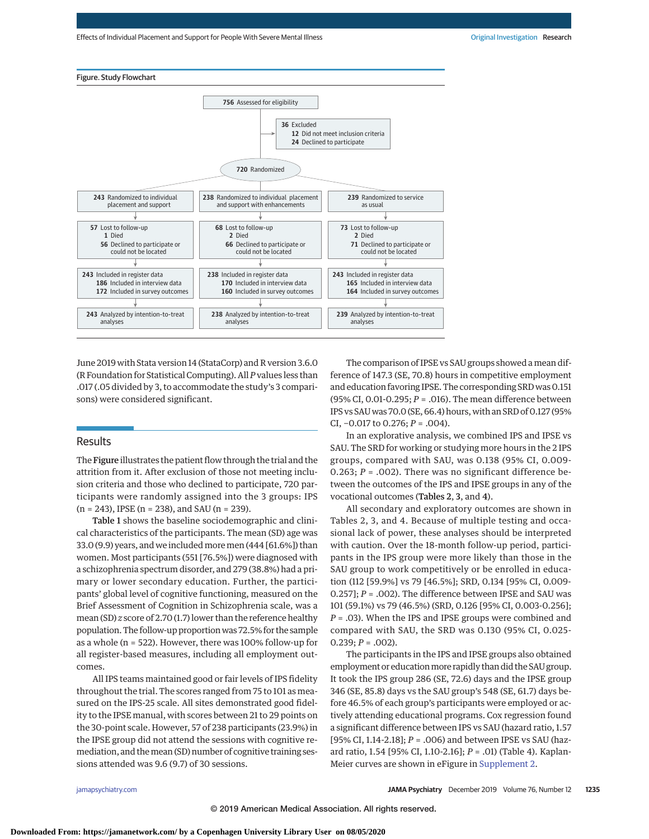



June 2019 with Stata version 14 (StataCorp) and R version 3.6.0 (R Foundation for Statistical Computing). All*P* values less than .017 (.05 divided by 3, to accommodate the study's 3 comparisons) were considered significant.

## **Results**

The Figure illustrates the patient flow through the trial and the attrition from it. After exclusion of those not meeting inclusion criteria and those who declined to participate, 720 participants were randomly assigned into the 3 groups: IPS  $(n = 243)$ , IPSE  $(n = 238)$ , and SAU  $(n = 239)$ .

Table 1 shows the baseline sociodemographic and clinical characteristics of the participants. The mean (SD) age was 33.0 (9.9) years, and we includedmoremen (444 [61.6%]) than women. Most participants (551 [76.5%]) were diagnosed with a schizophrenia spectrum disorder, and 279 (38.8%) had a primary or lower secondary education. Further, the participants' global level of cognitive functioning, measured on the Brief Assessment of Cognition in Schizophrenia scale, was a mean (SD) *z* score of 2.70 (1.7) lower than the reference healthy population. The follow-up proportion was 72.5% for the sample as a whole (n = 522). However, there was 100% follow-up for all register-based measures, including all employment outcomes.

All IPS teams maintained good or fair levels of IPS fidelity throughout the trial. The scores ranged from 75 to 101 as measured on the IPS-25 scale. All sites demonstrated good fidelity to the IPSE manual, with scores between 21 to 29 points on the 30-point scale. However, 57 of 238 participants (23.9%) in the IPSE group did not attend the sessions with cognitive remediation, and the mean (SD) number of cognitive training sessions attended was 9.6 (9.7) of 30 sessions.

The comparison of IPSE vs SAU groups showed a mean difference of 147.3 (SE, 70.8) hours in competitive employment and education favoring IPSE. The corresponding SRD was 0.151 (95% CI, 0.01-0.295; *P* = .016). The mean difference between IPS vs SAU was 70.0 (SE, 66.4) hours, with an SRD of 0.127 (95% CI, −0.017 to 0.276; *P* = .004).

In an explorative analysis, we combined IPS and IPSE vs SAU. The SRD for working or studying more hours in the 2 IPS groups, compared with SAU, was 0.138 (95% CI, 0.009- 0.263;  $P = .002$ ). There was no significant difference between the outcomes of the IPS and IPSE groups in any of the vocational outcomes (Tables 2, 3, and 4).

All secondary and exploratory outcomes are shown in Tables 2, 3, and 4. Because of multiple testing and occasional lack of power, these analyses should be interpreted with caution. Over the 18-month follow-up period, participants in the IPS group were more likely than those in the SAU group to work competitively or be enrolled in education (112 [59.9%] vs 79 [46.5%]; SRD, 0.134 [95% CI, 0.009- 0.257]; *P* = .002). The difference between IPSE and SAU was 101 (59.1%) vs 79 (46.5%) (SRD, 0.126 [95% CI, 0.003-0.256]; *P* = .03). When the IPS and IPSE groups were combined and compared with SAU, the SRD was 0.130 (95% CI, 0.025-  $0.239; P = .002$ ).

The participants in the IPS and IPSE groups also obtained employment or education more rapidly than did the SAU group. It took the IPS group 286 (SE, 72.6) days and the IPSE group 346 (SE, 85.8) days vs the SAU group's 548 (SE, 61.7) days before 46.5% of each group's participants were employed or actively attending educational programs. Cox regression found a significant difference between IPS vs SAU (hazard ratio, 1.57 [95% CI, 1.14-2.18]; *P* = .006) and between IPSE vs SAU (hazard ratio, 1.54 [95% CI, 1.10-2.16]; *P* = .01) (Table 4). Kaplan-Meier curves are shown in eFigure in [Supplement 2.](https://jamanetwork.com/journals/jama/fullarticle/10.1001/jamapsychiatry.2019.2291?utm_campaign=articlePDF%26utm_medium=articlePDFlink%26utm_source=articlePDF%26utm_content=jamapsychiatry.2019.2291)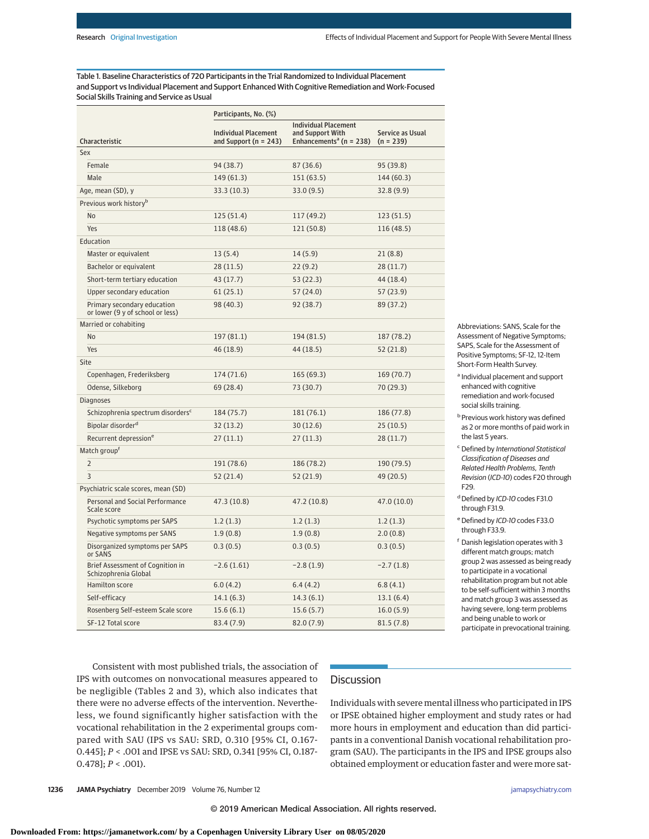Table 1. Baseline Characteristics of 720 Participants in the Trial Randomized to Individual Placement and Support vs Individual Placement and Support Enhanced With Cognitive Remediation and Work-Focused Social Skills Training and Service as Usual

|                                                                 | Participants, No. (%)                                    |                                                                                        |                                        |  |  |  |  |
|-----------------------------------------------------------------|----------------------------------------------------------|----------------------------------------------------------------------------------------|----------------------------------------|--|--|--|--|
| Characteristic                                                  | <b>Individual Placement</b><br>and Support ( $n = 243$ ) | <b>Individual Placement</b><br>and Support With<br>Enhancements <sup>a</sup> (n = 238) | <b>Service as Usual</b><br>$(n = 239)$ |  |  |  |  |
| Sex                                                             |                                                          |                                                                                        |                                        |  |  |  |  |
| Female                                                          | 94 (38.7)                                                | 87 (36.6)                                                                              | 95 (39.8)                              |  |  |  |  |
| Male                                                            | 149 (61.3)                                               | 151(63.5)                                                                              | 144 (60.3)                             |  |  |  |  |
| Age, mean (SD), y                                               | 33.3 (10.3)                                              | 33.0(9.5)                                                                              | 32.8(9.9)                              |  |  |  |  |
| Previous work history <sup>b</sup>                              |                                                          |                                                                                        |                                        |  |  |  |  |
| No                                                              | 125 (51.4)                                               | 117 (49.2)                                                                             | 123(51.5)                              |  |  |  |  |
| Yes                                                             | 118 (48.6)                                               | 121 (50.8)                                                                             | 116(48.5)                              |  |  |  |  |
| Education                                                       |                                                          |                                                                                        |                                        |  |  |  |  |
| Master or equivalent                                            | 13(5.4)                                                  | 14(5.9)                                                                                | 21(8.8)                                |  |  |  |  |
| Bachelor or equivalent                                          | 28(11.5)                                                 | 22(9.2)                                                                                | 28(11.7)                               |  |  |  |  |
| Short-term tertiary education                                   | 43 (17.7)                                                | 53 (22.3)                                                                              | 44 (18.4)                              |  |  |  |  |
| Upper secondary education                                       | 61(25.1)                                                 | 57 (24.0)                                                                              | 57(23.9)                               |  |  |  |  |
| Primary secondary education<br>or lower (9 y of school or less) | 98 (40.3)                                                | 92 (38.7)                                                                              | 89 (37.2)                              |  |  |  |  |
| Married or cohabiting                                           |                                                          |                                                                                        |                                        |  |  |  |  |
| N <sub>0</sub>                                                  | 197 (81.1)                                               | 194 (81.5)                                                                             | 187 (78.2)                             |  |  |  |  |
| Yes                                                             | 46 (18.9)                                                | 44 (18.5)                                                                              | 52 (21.8)                              |  |  |  |  |
| Site                                                            |                                                          |                                                                                        |                                        |  |  |  |  |
| Copenhagen, Frederiksberg                                       | 174 (71.6)                                               | 165(69.3)                                                                              | 169 (70.7)                             |  |  |  |  |
| Odense, Silkeborg                                               | 69 (28.4)                                                | 73 (30.7)                                                                              | 70 (29.3)                              |  |  |  |  |
| <b>Diagnoses</b>                                                |                                                          |                                                                                        |                                        |  |  |  |  |
| Schizophrenia spectrum disorders <sup>c</sup>                   | 184 (75.7)                                               | 181 (76.1)                                                                             | 186 (77.8)                             |  |  |  |  |
| Bipolar disorder <sup>d</sup>                                   | 32 (13.2)                                                | 30(12.6)                                                                               | 25(10.5)                               |  |  |  |  |
| Recurrent depression <sup>e</sup>                               | 27 (11.1)                                                | 27(11.3)                                                                               | 28(11.7)                               |  |  |  |  |
| Match group <sup>f</sup>                                        |                                                          |                                                                                        |                                        |  |  |  |  |
| $\overline{2}$                                                  | 191 (78.6)                                               | 186 (78.2)                                                                             | 190 (79.5)                             |  |  |  |  |
| 3                                                               | 52 (21.4)                                                | 52 (21.9)                                                                              | 49 (20.5)                              |  |  |  |  |
| Psychiatric scale scores, mean (SD)                             |                                                          |                                                                                        |                                        |  |  |  |  |
| Personal and Social Performance<br>Scale score                  | 47.3 (10.8)                                              | 47.2 (10.8)                                                                            | 47.0 (10.0)                            |  |  |  |  |
| Psychotic symptoms per SAPS                                     | 1.2(1.3)                                                 | 1.2(1.3)                                                                               | 1.2(1.3)                               |  |  |  |  |
| Negative symptoms per SANS                                      | 1.9(0.8)                                                 | 1.9(0.8)                                                                               | 2.0(0.8)                               |  |  |  |  |
| Disorganized symptoms per SAPS<br>or SANS                       | 0.3(0.5)                                                 | 0.3(0.5)                                                                               | 0.3(0.5)                               |  |  |  |  |
| Brief Assessment of Cognition in<br>Schizophrenia Global        | $-2.6(1.61)$                                             | $-2.8(1.9)$                                                                            | $-2.7(1.8)$                            |  |  |  |  |
| Hamilton score                                                  | 6.0(4.2)                                                 | 6.4(4.2)                                                                               | 6.8(4.1)                               |  |  |  |  |
| Self-efficacy                                                   | 14.1(6.3)                                                | 14.3(6.1)                                                                              | 13.1(6.4)                              |  |  |  |  |
| Rosenberg Self-esteem Scale score                               | 15.6(6.1)                                                | 15.6(5.7)                                                                              | 16.0(5.9)                              |  |  |  |  |
| SF-12 Total score                                               | 83.4 (7.9)                                               | 82.0(7.9)                                                                              | 81.5(7.8)                              |  |  |  |  |

Abbreviations: SANS, Scale for the Assessment of Negative Symptoms; SAPS, Scale for the Assessment of Positive Symptoms; SF-12, 12-Item Short-Form Health Survey.

<sup>a</sup> Individual placement and support enhanced with cognitive remediation and work-focused social skills training.

**b** Previous work history was defined as 2 or more months of paid work in the last 5 years.

<sup>c</sup> Defined by International Statistical Classification of Diseases and Related Health Problems, Tenth Revision (ICD-10) codes F20 through F29.

<sup>d</sup> Defined by ICD-10 codes F31.0 through F31.9.

e Defined by ICD-10 codes F33.0 through F33.9.

<sup>f</sup> Danish legislation operates with 3 different match groups; match group 2 was assessed as being ready to participate in a vocational rehabilitation program but not able to be self-sufficient within 3 months and match group 3 was assessed as having severe, long-term problems and being unable to work or participate in prevocational training.

Consistent with most published trials, the association of IPS with outcomes on nonvocational measures appeared to be negligible (Tables 2 and 3), which also indicates that there were no adverse effects of the intervention. Nevertheless, we found significantly higher satisfaction with the vocational rehabilitation in the 2 experimental groups compared with SAU (IPS vs SAU: SRD, 0.310 [95% CI, 0.167- 0.445]; *P* < .001 and IPSE vs SAU: SRD, 0.341 [95% CI, 0.187- 0.478]; *P* < .001).

# **Discussion**

Individuals with severe mental illness who participated in IPS or IPSE obtained higher employment and study rates or had more hours in employment and education than did participants in a conventional Danish vocational rehabilitation program (SAU). The participants in the IPS and IPSE groups also obtained employment or education faster and were more sat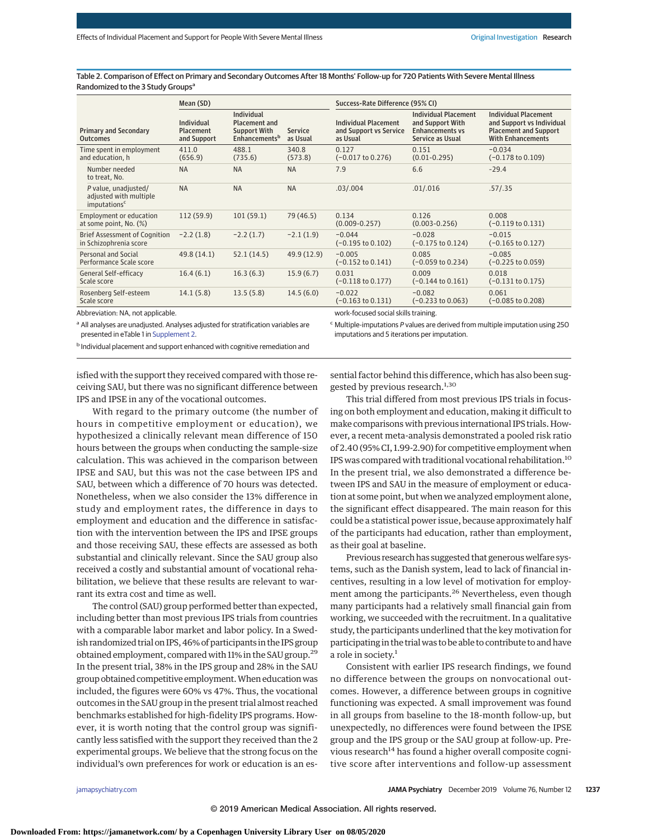Table 2. Comparison of Effect on Primary and Secondary Outcomes After 18 Months' Follow-up for 720 Patients With Severe Mental Illness Randomized to the 3 Study Groups<sup>a</sup>

|                                                                            | Mean (SD)                                     |                                                                                        |                            | Success-Rate Difference (95% CI)                                  |                                                                                               |                                                                                                                      |  |
|----------------------------------------------------------------------------|-----------------------------------------------|----------------------------------------------------------------------------------------|----------------------------|-------------------------------------------------------------------|-----------------------------------------------------------------------------------------------|----------------------------------------------------------------------------------------------------------------------|--|
| <b>Primary and Secondary</b><br><b>Outcomes</b>                            | Individual<br><b>Placement</b><br>and Support | Individual<br><b>Placement and</b><br><b>Support With</b><br>Enhancements <sup>b</sup> | <b>Service</b><br>as Usual | <b>Individual Placement</b><br>and Support vs Service<br>as Usual | <b>Individual Placement</b><br>and Support With<br><b>Enhancements vs</b><br>Service as Usual | <b>Individual Placement</b><br>and Support vs Individual<br><b>Placement and Support</b><br><b>With Enhancements</b> |  |
| Time spent in employment<br>and education, h                               | 411.0<br>(656.9)                              | 488.1<br>(735.6)                                                                       | 340.8<br>(573.8)           | 0.127<br>$(-0.017 \text{ to } 0.276)$                             | 0.151<br>$(0.01 - 0.295)$                                                                     | $-0.034$<br>$(-0.178 \text{ to } 0.109)$                                                                             |  |
| Number needed<br>to treat, No.                                             | <b>NA</b>                                     | <b>NA</b>                                                                              | <b>NA</b>                  | 7.9                                                               | 6.6                                                                                           | $-29.4$                                                                                                              |  |
| P value, unadjusted/<br>adjusted with multiple<br>imputations <sup>c</sup> | <b>NA</b>                                     | <b>NA</b>                                                                              | <b>NA</b>                  | .03/.004                                                          | .01/.016                                                                                      | .57/.35                                                                                                              |  |
| Employment or education<br>at some point, No. (%)                          | 112(59.9)                                     | 101(59.1)                                                                              | 79 (46.5)                  | 0.134<br>$(0.009 - 0.257)$                                        | 0.126<br>$(0.003 - 0.256)$                                                                    | 0.008<br>$(-0.119 \text{ to } 0.131)$                                                                                |  |
| <b>Brief Assessment of Cognition</b><br>in Schizophrenia score             | $-2.2(1.8)$                                   | $-2.2(1.7)$                                                                            | $-2.1(1.9)$                | $-0.044$<br>$(-0.195 \text{ to } 0.102)$                          | $-0.028$<br>$(-0.175 \text{ to } 0.124)$                                                      | $-0.015$<br>$(-0.165 \text{ to } 0.127)$                                                                             |  |
| Personal and Social<br>Performance Scale score                             | 49.8 (14.1)                                   | 52.1(14.5)                                                                             | 49.9 (12.9)                | $-0.005$<br>$(-0.152 \text{ to } 0.141)$                          | 0.085<br>$(-0.059 \text{ to } 0.234)$                                                         | $-0.085$<br>$(-0.225 \text{ to } 0.059)$                                                                             |  |
| General Self-efficacy<br>Scale score                                       | 16.4(6.1)                                     | 16.3(6.3)                                                                              | 15.9(6.7)                  | 0.031<br>$(-0.118 \text{ to } 0.177)$                             | 0.009<br>$(-0.144 \text{ to } 0.161)$                                                         | 0.018<br>$(-0.131$ to $0.175)$                                                                                       |  |
| Rosenberg Self-esteem<br>Scale score                                       | 14.1(5.8)                                     | 13.5(5.8)                                                                              | 14.5(6.0)                  | $-0.022$<br>$(-0.163 \text{ to } 0.131)$                          | $-0.082$<br>$(-0.233$ to $0.063)$                                                             | 0.061<br>$(-0.085 \text{ to } 0.208)$                                                                                |  |
| Abbreviation: NA, not applicable.                                          |                                               |                                                                                        |                            | work-focused social skills training.                              |                                                                                               |                                                                                                                      |  |

Abbreviation: NA, not applicable.

<sup>a</sup> All analyses are unadjusted. Analyses adjusted for stratification variables are presented in eTable 1 in [Supplement 2.](https://jamanetwork.com/journals/jama/fullarticle/10.1001/jamapsychiatry.2019.2291?utm_campaign=articlePDF%26utm_medium=articlePDFlink%26utm_source=articlePDF%26utm_content=jamapsychiatry.2019.2291)

b Individual placement and support enhanced with cognitive remediation and

 $c$  Multiple-imputations P values are derived from multiple imputation using 250 imputations and 5 iterations per imputation.

isfied with the support they received compared with those receiving SAU, but there was no significant difference between IPS and IPSE in any of the vocational outcomes.

With regard to the primary outcome (the number of hours in competitive employment or education), we hypothesized a clinically relevant mean difference of 150 hours between the groups when conducting the sample-size calculation. This was achieved in the comparison between IPSE and SAU, but this was not the case between IPS and SAU, between which a difference of 70 hours was detected. Nonetheless, when we also consider the 13% difference in study and employment rates, the difference in days to employment and education and the difference in satisfaction with the intervention between the IPS and IPSE groups and those receiving SAU, these effects are assessed as both substantial and clinically relevant. Since the SAU group also received a costly and substantial amount of vocational rehabilitation, we believe that these results are relevant to warrant its extra cost and time as well.

The control (SAU) group performed better than expected, including better than most previous IPS trials from countries with a comparable labor market and labor policy. In a Swedish randomized trial on IPS, 46% of participants in the IPS group obtained employment, compared with 11% in the SAU group.29 In the present trial, 38% in the IPS group and 28% in the SAU group obtained competitive employment.When educationwas included, the figures were 60% vs 47%. Thus, the vocational outcomes in the SAU group in the present trial almost reached benchmarks established for high-fidelity IPS programs. However, it is worth noting that the control group was significantly less satisfied with the support they received than the 2 experimental groups. We believe that the strong focus on the individual's own preferences for work or education is an essential factor behind this difference, which has also been suggested by previous research.<sup>1,30</sup>

This trial differed from most previous IPS trials in focusing on both employment and education, making it difficult to make comparisons with previous international IPS trials. However, a recent meta-analysis demonstrated a pooled risk ratio of 2.40 (95% CI, 1.99-2.90) for competitive employment when IPS was compared with traditional vocational rehabilitation.10 In the present trial, we also demonstrated a difference between IPS and SAU in the measure of employment or education at some point, but when we analyzed employment alone, the significant effect disappeared. The main reason for this could be a statistical power issue, because approximately half of the participants had education, rather than employment, as their goal at baseline.

Previous research has suggested that generous welfare systems, such as the Danish system, lead to lack of financial incentives, resulting in a low level of motivation for employment among the participants.<sup>26</sup> Nevertheless, even though many participants had a relatively small financial gain from working, we succeeded with the recruitment. In a qualitative study, the participants underlined that the key motivation for participating in the trial was to be able to contribute to and have a role in society.<sup>1</sup>

Consistent with earlier IPS research findings, we found no difference between the groups on nonvocational outcomes. However, a difference between groups in cognitive functioning was expected. A small improvement was found in all groups from baseline to the 18-month follow-up, but unexpectedly, no differences were found between the IPSE group and the IPS group or the SAU group at follow-up. Previous research<sup>14</sup> has found a higher overall composite cognitive score after interventions and follow-up assessment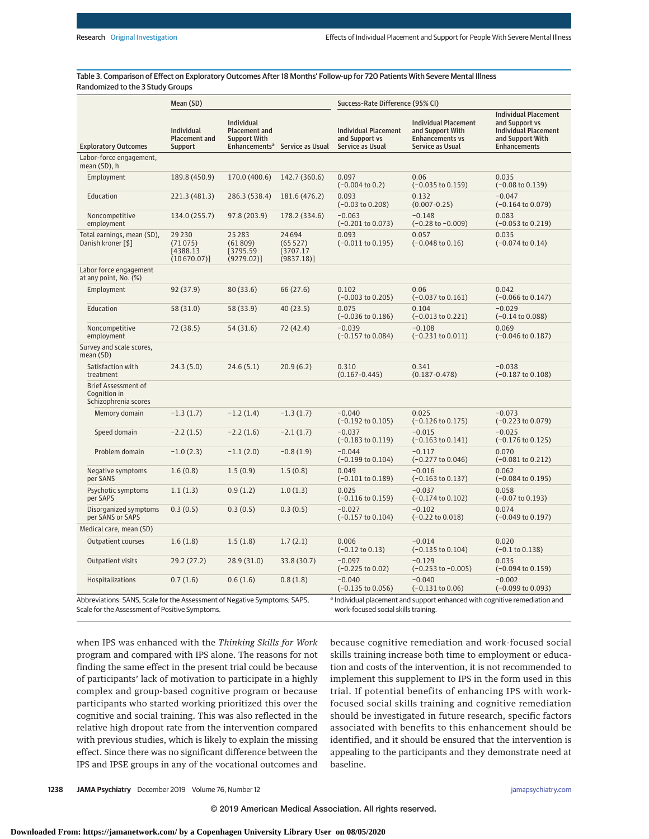Table 3. Comparison of Effect on Exploratory Outcomes After 18 Months' Follow-up for 720 Patients With Severe Mental Illness Randomized to the 3 Study Groups

|                                                                                                                             | Mean (SD)                                      |                                                                  |                                             | Success-Rate Difference (95% CI)                                         |                                                                                               |                                                                                                                         |  |
|-----------------------------------------------------------------------------------------------------------------------------|------------------------------------------------|------------------------------------------------------------------|---------------------------------------------|--------------------------------------------------------------------------|-----------------------------------------------------------------------------------------------|-------------------------------------------------------------------------------------------------------------------------|--|
| <b>Exploratory Outcomes</b>                                                                                                 | Individual<br><b>Placement and</b><br>Support  | <b>Individual</b><br><b>Placement and</b><br><b>Support With</b> | Enhancements <sup>a</sup> Service as Usual  | <b>Individual Placement</b><br>and Support vs<br><b>Service as Usual</b> | <b>Individual Placement</b><br>and Support With<br><b>Enhancements vs</b><br>Service as Usual | <b>Individual Placement</b><br>and Support vs<br><b>Individual Placement</b><br>and Support With<br><b>Enhancements</b> |  |
| Labor-force engagement,<br>mean (SD), h                                                                                     |                                                |                                                                  |                                             |                                                                          |                                                                                               |                                                                                                                         |  |
| Employment                                                                                                                  | 189.8 (450.9)                                  | 170.0 (400.6)                                                    | 142.7 (360.6)                               | 0.097<br>$(-0.004 \text{ to } 0.2)$                                      | 0.06<br>$(-0.035$ to $0.159)$                                                                 | 0.035<br>$(-0.08 \text{ to } 0.139)$                                                                                    |  |
| Education                                                                                                                   | 221.3 (481.3)                                  | 286.3 (538.4)                                                    | 181.6 (476.2)                               | 0.093<br>$(-0.03 \text{ to } 0.208)$                                     | 0.132<br>$(0.007 - 0.25)$                                                                     | $-0.047$<br>$(-0.164 \text{ to } 0.079)$                                                                                |  |
| Noncompetitive<br>employment                                                                                                | 134.0 (255.7)                                  | 97.8 (203.9)                                                     | 178.2 (334.6)                               | $-0.063$<br>$(-0.201 to 0.073)$                                          | $-0.148$<br>$(-0.28 \text{ to } -0.009)$                                                      | 0.083<br>$(-0.053 \text{ to } 0.219)$                                                                                   |  |
| Total earnings, mean (SD),<br>Danish kroner [\$]                                                                            | 29 2 30<br>(71075)<br>[4388.13]<br>(10670.07)] | 25 28 3<br>(61809)<br>[3795.59]<br>(9279.02)]                    | 24694<br>(65527)<br>[3707.17]<br>(9837.18)] | 0.093<br>$(-0.011$ to $0.195)$                                           | 0.057<br>$(-0.048 \text{ to } 0.16)$                                                          | 0.035<br>$(-0.074 \text{ to } 0.14)$                                                                                    |  |
| Labor force engagement<br>at any point, No. (%)                                                                             |                                                |                                                                  |                                             |                                                                          |                                                                                               |                                                                                                                         |  |
| Employment                                                                                                                  | 92 (37.9)                                      | 80 (33.6)                                                        | 66 (27.6)                                   | 0.102<br>$(-0.003 \text{ to } 0.205)$                                    | 0.06<br>$(-0.037 \text{ to } 0.161)$                                                          | 0.042<br>$(-0.066 \text{ to } 0.147)$                                                                                   |  |
| Education                                                                                                                   | 58 (31.0)                                      | 58 (33.9)                                                        | 40(23.5)                                    | 0.075<br>$(-0.036 \text{ to } 0.186)$                                    | 0.104<br>$(-0.013 \text{ to } 0.221)$                                                         | $-0.029$<br>$(-0.14 \text{ to } 0.088)$                                                                                 |  |
| Noncompetitive<br>employment                                                                                                | 72 (38.5)                                      | 54 (31.6)                                                        | 72 (42.4)                                   | $-0.039$<br>$(-0.157 \text{ to } 0.084)$                                 | $-0.108$<br>$(-0.231$ to $0.011)$                                                             | 0.069<br>$(-0.046 \text{ to } 0.187)$                                                                                   |  |
| Survey and scale scores,<br>mean (SD)                                                                                       |                                                |                                                                  |                                             |                                                                          |                                                                                               |                                                                                                                         |  |
| Satisfaction with<br>treatment                                                                                              | 24.3(5.0)                                      | 24.6(5.1)                                                        | 20.9(6.2)                                   | 0.310<br>$(0.167 - 0.445)$                                               | 0.341<br>$(0.187 - 0.478)$                                                                    | $-0.038$<br>$(-0.187 \text{ to } 0.108)$                                                                                |  |
| <b>Brief Assessment of</b><br>Cognition in<br>Schizophrenia scores                                                          |                                                |                                                                  |                                             |                                                                          |                                                                                               |                                                                                                                         |  |
| Memory domain                                                                                                               | $-1.3(1.7)$                                    | $-1.2(1.4)$                                                      | $-1.3(1.7)$                                 | $-0.040$<br>$(-0.192 \text{ to } 0.105)$                                 | 0.025<br>$(-0.126 \text{ to } 0.175)$                                                         | $-0.073$<br>$(-0.223 \text{ to } 0.079)$                                                                                |  |
| Speed domain                                                                                                                | $-2.2(1.5)$                                    | $-2.2(1.6)$                                                      | $-2.1(1.7)$                                 | $-0.037$<br>$(-0.183 \text{ to } 0.119)$                                 | $-0.015$<br>$(-0.163 \text{ to } 0.141)$                                                      | $-0.025$<br>$(-0.176 \text{ to } 0.125)$                                                                                |  |
| Problem domain                                                                                                              | $-1.0(2.3)$                                    | $-1.1(2.0)$                                                      | $-0.8(1.9)$                                 | $-0.044$<br>$(-0.199 \text{ to } 0.104)$                                 | $-0.117$<br>$(-0.277$ to $0.046)$                                                             | 0.070<br>$(-0.081 \text{ to } 0.212)$                                                                                   |  |
| Negative symptoms<br>per SANS                                                                                               | 1.6(0.8)                                       | 1.5(0.9)                                                         | 1.5(0.8)                                    | 0.049<br>$(-0.101 to 0.189)$                                             | $-0.016$<br>$(-0.163 \text{ to } 0.137)$                                                      | 0.062<br>$(-0.084 \text{ to } 0.195)$                                                                                   |  |
| Psychotic symptoms<br>per SAPS                                                                                              | 1.1(1.3)                                       | 0.9(1.2)                                                         | 1.0(1.3)                                    | 0.025<br>$(-0.116 \text{ to } 0.159)$                                    | $-0.037$<br>$(-0.174 \text{ to } 0.102)$                                                      | 0.058<br>$(-0.07 \text{ to } 0.193)$                                                                                    |  |
| Disorganized symptoms<br>per SANS or SAPS                                                                                   | 0.3(0.5)                                       | 0.3(0.5)                                                         | 0.3(0.5)                                    | $-0.027$<br>$(-0.157 \text{ to } 0.104)$                                 | $-0.102$<br>$(-0.22 \text{ to } 0.018)$                                                       | 0.074<br>$(-0.049 \text{ to } 0.197)$                                                                                   |  |
| Medical care, mean (SD)                                                                                                     |                                                |                                                                  |                                             |                                                                          |                                                                                               |                                                                                                                         |  |
| Outpatient courses                                                                                                          | 1.6(1.8)                                       | 1.5(1.8)                                                         | 1.7(2.1)                                    | 0.006<br>$(-0.12 \text{ to } 0.13)$                                      | $-0.014$<br>$(-0.135 \text{ to } 0.104)$                                                      | 0.020<br>$(-0.1 to 0.138)$                                                                                              |  |
| Outpatient visits                                                                                                           | 29.2 (27.2)                                    | 28.9 (31.0)                                                      | 33.8 (30.7)                                 | $-0.097$<br>$(-0.225 \text{ to } 0.02)$                                  | $-0.129$<br>$(-0.253 \text{ to } -0.005)$                                                     | 0.035<br>$(-0.094 \text{ to } 0.159)$                                                                                   |  |
| Hospitalizations                                                                                                            | 0.7(1.6)                                       | 0.6(1.6)                                                         | 0.8(1.8)                                    | $-0.040$<br>(-0.135 to 0.056)                                            | $-0.040$<br>$(-0.131$ to $0.06)$                                                              | $-0.002$<br>$(-0.099$ to $0.093)$                                                                                       |  |
| Abbreviations: SANS, Scale for the Assessment of Negative Symptoms; SAPS,<br>Scale for the Assessment of Positive Symptoms. |                                                |                                                                  |                                             | work-focused social skills training.                                     | <sup>a</sup> Individual placement and support enhanced with cognitive remediation and         |                                                                                                                         |  |

Scale for the Assessment of Positive Symptoms.

when IPS was enhanced with the *Thinking Skills for Work* program and compared with IPS alone. The reasons for not finding the same effect in the present trial could be because of participants' lack of motivation to participate in a highly complex and group-based cognitive program or because participants who started working prioritized this over the cognitive and social training. This was also reflected in the relative high dropout rate from the intervention compared with previous studies, which is likely to explain the missing effect. Since there was no significant difference between the IPS and IPSE groups in any of the vocational outcomes and

because cognitive remediation and work-focused social skills training increase both time to employment or education and costs of the intervention, it is not recommended to implement this supplement to IPS in the form used in this trial. If potential benefits of enhancing IPS with workfocused social skills training and cognitive remediation should be investigated in future research, specific factors associated with benefits to this enhancement should be identified, and it should be ensured that the intervention is appealing to the participants and they demonstrate need at baseline.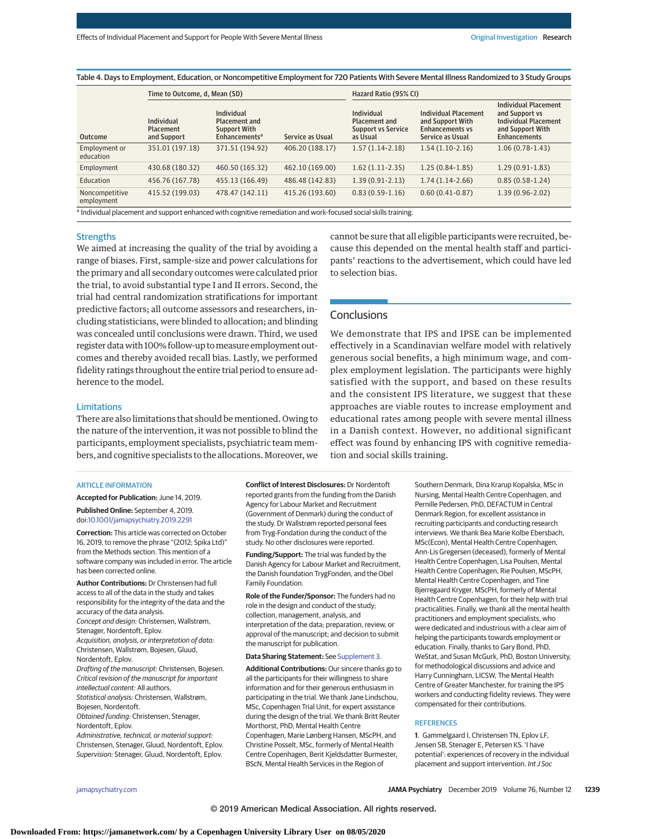Table 4. Days to Employment, Education, or Noncompetitive Employment for 720 Patients With Severe Mental Illness Randomized to 3 Study Groups

|                                                                                                                 | Time to Outcome, d, Mean (SD)          |                                                                                              | Hazard Ratio (95% CI) |                                                                                    |                                                                                               |                                                                                                                         |  |
|-----------------------------------------------------------------------------------------------------------------|----------------------------------------|----------------------------------------------------------------------------------------------|-----------------------|------------------------------------------------------------------------------------|-----------------------------------------------------------------------------------------------|-------------------------------------------------------------------------------------------------------------------------|--|
| <b>Outcome</b>                                                                                                  | Individual<br>Placement<br>and Support | Individual<br><b>Placement and</b><br><b>Support With</b><br><b>Enhancements<sup>a</sup></b> | Service as Usual      | <b>Individual</b><br><b>Placement and</b><br><b>Support vs Service</b><br>as Usual | <b>Individual Placement</b><br>and Support With<br><b>Enhancements vs</b><br>Service as Usual | <b>Individual Placement</b><br>and Support ys<br><b>Individual Placement</b><br>and Support With<br><b>Enhancements</b> |  |
| Employment or<br>education                                                                                      | 351.01 (197.18)                        | 371.51 (194.92)                                                                              | 406.20 (188.17)       | $1.57(1.14-2.18)$                                                                  | $1.54(1.10-2.16)$                                                                             | $1.06(0.78-1.43)$                                                                                                       |  |
| Employment                                                                                                      | 430.68 (180.32)                        | 460.50 (165.32)                                                                              | 462.10 (169.00)       | $1.62(1.11-2.35)$                                                                  | $1.25(0.84-1.85)$                                                                             | $1.29(0.91-1.83)$                                                                                                       |  |
| Education                                                                                                       | 456.76 (167.78)                        | 455.13 (166.49)                                                                              | 486.48 (142.83)       | $1.39(0.91 - 2.13)$                                                                | $1.74(1.14-2.66)$                                                                             | $0.85(0.58-1.24)$                                                                                                       |  |
| Noncompetitive<br>employment                                                                                    | 415.52 (199.03)                        | 478.47 (142.11)                                                                              | 415.26 (193.60)       | $0.83(0.59-1.16)$                                                                  | $0.60(0.41-0.87)$                                                                             | $1.39(0.96 - 2.02)$                                                                                                     |  |
| a Individual placement and support enhanced with cognitive remediation and work-focused social skills training. |                                        |                                                                                              |                       |                                                                                    |                                                                                               |                                                                                                                         |  |

#### **Strengths**

We aimed at increasing the quality of the trial by avoiding a range of biases. First, sample-size and power calculations for the primary and all secondary outcomes were calculated prior the trial, to avoid substantial type I and II errors. Second, the trial had central randomization stratifications for important predictive factors; all outcome assessors and researchers, including statisticians, were blinded to allocation; and blinding was concealed until conclusions were drawn. Third, we used register datawith 100% follow-up tomeasure employment outcomes and thereby avoided recall bias. Lastly, we performed fidelity ratings throughout the entire trial period to ensure adherence to the model.

There are also limitations that should be mentioned. Owing to the nature of the intervention, it was not possible to blind the participants, employment specialists, psychiatric team members, and cognitive specialists to the allocations. Moreover, we

# cannot be sure that all eligible participants were recruited, because this depended on the mental health staff and participants' reactions to the advertisement, which could have led to selection bias.

## **Conclusions**

We demonstrate that IPS and IPSE can be implemented effectively in a Scandinavian welfare model with relatively generous social benefits, a high minimum wage, and complex employment legislation. The participants were highly satisfied with the support, and based on these results and the consistent IPS literature, we suggest that these approaches are viable routes to increase employment and educational rates among people with severe mental illness in a Danish context. However, no additional significant effect was found by enhancing IPS with cognitive remediation and social skills training.

# ARTICLE INFORMATION

Limitations

**Accepted for Publication:** June 14, 2019.

#### **Published Online:** September 4, 2019. doi[:10.1001/jamapsychiatry.2019.2291](https://jamanetwork.com/journals/jama/fullarticle/10.1001/jamapsychiatry.2019.2291?utm_campaign=articlePDF%26utm_medium=articlePDFlink%26utm_source=articlePDF%26utm_content=jamapsychiatry.2019.2291)

**Correction:** This article was corrected on October 16, 2019, to remove the phrase "(2012; Spika Ltd)" from the Methods section. This mention of a software company was included in error. The article has been corrected online.

**Author Contributions:** Dr Christensen had full access to all of the data in the study and takes responsibility for the integrity of the data and the accuracy of the data analysis. Concept and design: Christensen, Wallstrøm, Stenager, Nordentoft, Eplov. Acquisition, analysis, or interpretation of data: Christensen, Wallstrøm, Bojesen, Gluud, Nordentoft, Eplov. Drafting of the manuscript: Christensen, Bojesen. Critical revision of the manuscript for important intellectual content: All authors. Statistical analysis: Christensen, Wallstrøm, Bojesen, Nordentoft. Obtained funding: Christensen, Stenager, Nordentoft, Eplov. Administrative, technical, or material support: Christensen, Stenager, Gluud, Nordentoft, Eplov.

Supervision: Stenager, Gluud, Nordentoft, Eplov.

**Conflict of Interest Disclosures:** Dr Nordentoft reported grants from the funding from the Danish Agency for Labour Market and Recruitment (Government of Denmark) during the conduct of the study. Dr Wallstrøm reported personal fees from Tryg-Fondation during the conduct of the study. No other disclosures were reported.

**Funding/Support:** The trial was funded by the Danish Agency for Labour Market and Recruitment, the Danish foundation TrygFonden, and the Obel Family Foundation.

**Role of the Funder/Sponsor:** The funders had no role in the design and conduct of the study; collection, management, analysis, and interpretation of the data; preparation, review, or approval of the manuscript; and decision to submit the manuscript for publication.

#### **Data Sharing Statement:** See [Supplement 3.](https://jamanetwork.com/journals/jama/fullarticle/10.1001/jamapsychiatry.2019.2291?utm_campaign=articlePDF%26utm_medium=articlePDFlink%26utm_source=articlePDF%26utm_content=jamapsychiatry.2019.2291)

**Additional Contributions:** Our sincere thanks go to all the participants for their willingness to share information and for their generous enthusiasm in participating in the trial. We thank Jane Lindschou, MSc, Copenhagen Trial Unit, for expert assistance during the design of the trial. We thank Britt Reuter Morthorst, PhD, Mental Health Centre Copenhagen, Marie Lønberg Hansen, MScPH, and Christine Posselt, MSc, formerly of Mental Health Centre Copenhagen, Berit Kjeldsdatter Burmester, BScN, Mental Health Services in the Region of

Southern Denmark, Dina Krarup Kopalska, MSc in Nursing, Mental Health Centre Copenhagen, and Pernille Pedersen, PhD, DEFACTUM in Central Denmark Region, for excellent assistance in recruiting participants and conducting research interviews. We thank Bea Marie Kolbe Ebersbach, MSc(Econ), Mental Health Centre Copenhagen, Ann-Lis Gregersen (deceased), formerly of Mental Health Centre Copenhagen, Lisa Poulsen, Mental Health Centre Copenhagen, Rie Poulsen, MScPH, Mental Health Centre Copenhagen, and Tine Bjerregaard Kryger, MScPH, formerly of Mental Health Centre Copenhagen, for their help with trial practicalities. Finally, we thank all the mental health practitioners and employment specialists, who were dedicated and industrious with a clear aim of helping the participants towards employment or education. Finally, thanks to Gary Bond, PhD, WeStat, and Susan McGurk, PhD, Boston University, for methodological discussions and advice and Harry Cunningham, LICSW, The Mental Health Centre of Greater Manchester, for training the IPS workers and conducting fidelity reviews. They were compensated for their contributions.

#### **REFERENCES**

**1**. Gammelgaard I, Christensen TN, Eplov LF, Jensen SB, Stenager E, Petersen KS. 'I have potential': experiences of recovery in the individual placement and support intervention. Int J Soc